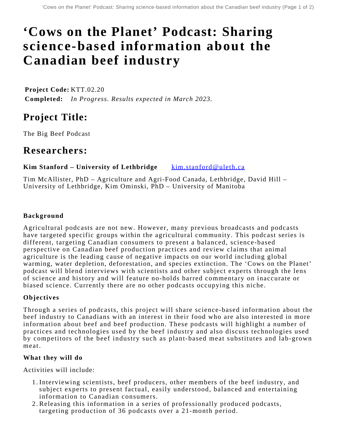# **'Cows on the Planet' Podcast: Sharing science-based information about the Canadian beef industry**

**Project Code:** KTT.02.20 **Completed:** *In Progress. Results expected in March 2023.* 

## **Project Title:**

The Big Beef Podcast

### **Researchers:**

**Kim Stanford – University of Lethbridge** [kim.stanford@uleth.ca](mailto:kim.stanford@uleth.ca)

Tim McAllister, PhD – Agriculture and Agri-Food Canada, Lethbridge, David Hill – University of Lethbridge, Kim Ominski, PhD – University of Manitoba

#### **Background**

Agricultural podcasts are not new. However, many previous broadcasts and podcasts have targeted specific groups within the agricultural community. This podcast series is different, targeting Canadian consumers to present a balanced, science-based perspective on Canadian beef production practices and review claims that animal agriculture is the leading cause of negative impacts on our world including global warming, water depletion, deforestation, and species extinction. The 'Cows on the Planet' podcast will blend interviews with scientists and other subject experts through the lens of science and history and will feature no-holds barred commentary on inaccurate or biased science. Currently there are no other podcasts occupying this niche.

#### **Objectives**

Through a series of podcasts, this project will share science-based information about the beef industry to Canadians with an interest in their food who are also interested in more information about beef and beef production. These podcasts will highlight a number of practices and technologies used by the beef industry and also discuss technologies used by competitors of the beef industry such as plant-based meat substitutes and lab-grown meat.

#### **What they will do**

Activities will include:

- Interviewing scientists, beef producers, other members of the beef industry, and 1. subject experts to present factual, easily understood, balanced and entertaining information to Canadian consumers.
- Releasing this information in a series of professionally produced podcasts, 2. targeting production of 36 podcasts over a 21-month period.